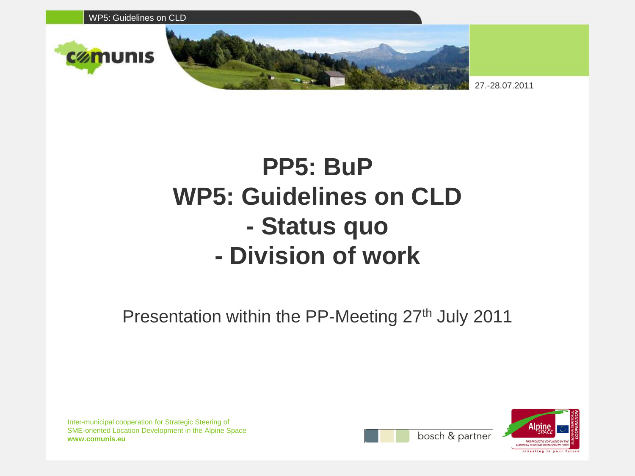

## **PP5: BuP WP5: Guidelines on CLD - Status quo - Division of work**

Presentation within the PP-Meeting 27<sup>th</sup> July 2011



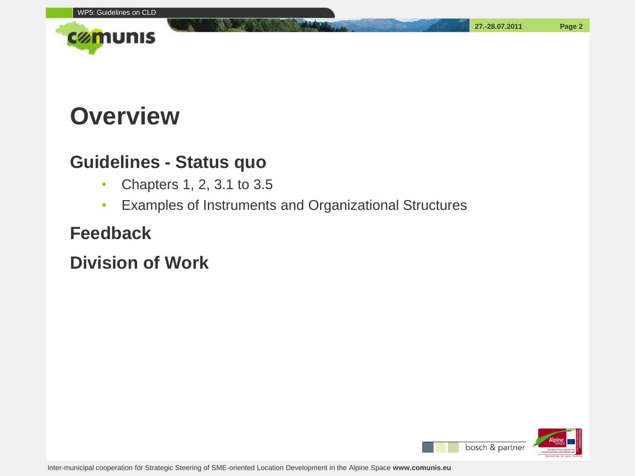

#### **Overview**

#### **Guidelines - Status quo**

- Chapters 1, 2, 3.1 to 3.5
- Examples of Instruments and Organizational Structures

#### **Feedback**

**Division of Work**

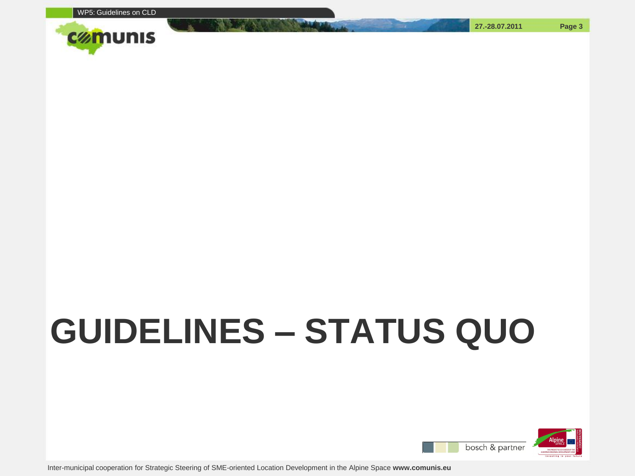

# **GUIDELINES – STATUS QUO**



**27.-28.07.2011 Page 3**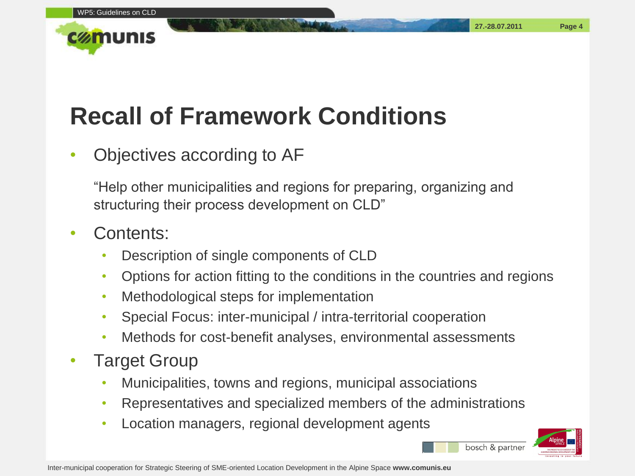## **Recall of Framework Conditions**

#### • Objectives according to AF

"Help other municipalities and regions for preparing, organizing and structuring their process development on CLD"

#### • Contents:

- Description of single components of CLD
- Options for action fitting to the conditions in the countries and regions
- Methodological steps for implementation
- Special Focus: inter-municipal / intra-territorial cooperation
- Methods for cost-benefit analyses, environmental assessments
- Target Group
	- Municipalities, towns and regions, municipal associations
	- Representatives and specialized members of the administrations
	- Location managers, regional development agents



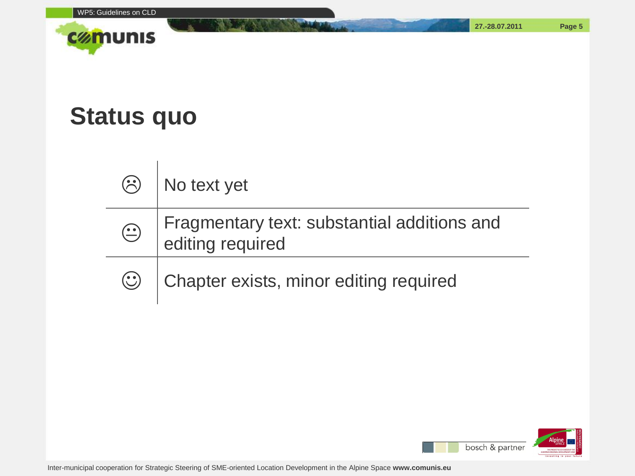

#### **Status quo**

 $\overline{1}$ 

| $\odot$    | No text yet                                                     |
|------------|-----------------------------------------------------------------|
| $\bigodot$ | Fragmentary text: substantial additions and<br>editing required |
| $\odot$    | Chapter exists, minor editing required                          |

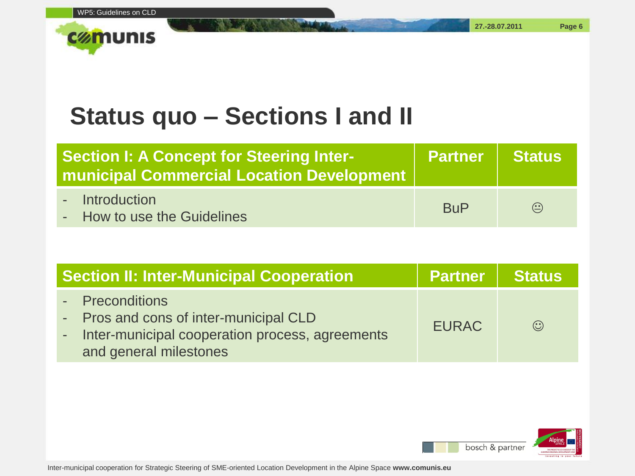#### **Status quo – Sections I and II**

| <b>Section I: A Concept for Steering Inter-</b><br><b>municipal Commercial Location Development</b> | Partner Status |                                          |
|-----------------------------------------------------------------------------------------------------|----------------|------------------------------------------|
| - Introduction<br>- How to use the Guidelines                                                       | <b>BuP</b>     | $\left( \underline{\cdot} \cdot \right)$ |

| <b>Section II: Inter-Municipal Cooperation</b>                                                                                           | <b>Partner Status</b> |         |
|------------------------------------------------------------------------------------------------------------------------------------------|-----------------------|---------|
| - Preconditions<br>- Pros and cons of inter-municipal CLD<br>- Inter-municipal cooperation process, agreements<br>and general milestones | <b>EURAC</b>          | $\odot$ |

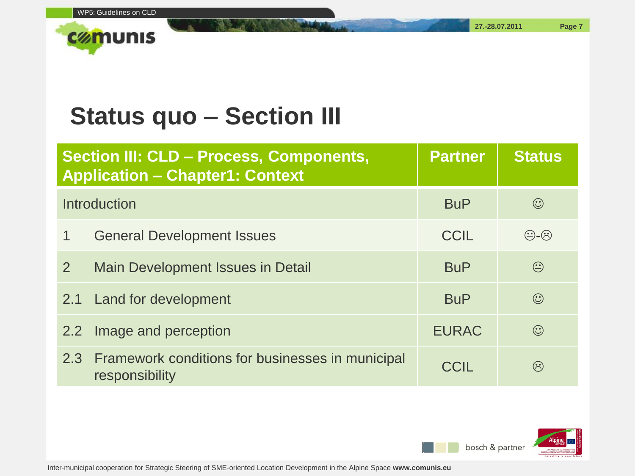

|                | Section III: CLD - Process, Components,<br><b>Application - Chapter1: Context</b> | <b>Partner</b> | <b>Status</b>             |
|----------------|-----------------------------------------------------------------------------------|----------------|---------------------------|
|                | <b>Introduction</b>                                                               | <b>BuP</b>     | $\odot$                   |
|                | <b>General Development Issues</b>                                                 | CCIL           | $\bigoplus$ - $\bigoplus$ |
| $\overline{2}$ | Main Development Issues in Detail                                                 | <b>BuP</b>     | $\odot$                   |
| 2.1            | Land for development                                                              | <b>BuP</b>     | $\odot$                   |
| 2.2            | Image and perception                                                              | <b>EURAC</b>   | $\odot$                   |
| 2.3            | Framework conditions for businesses in municipal<br>responsibility                | CCIL           | $\hat{(\cdot)}$           |

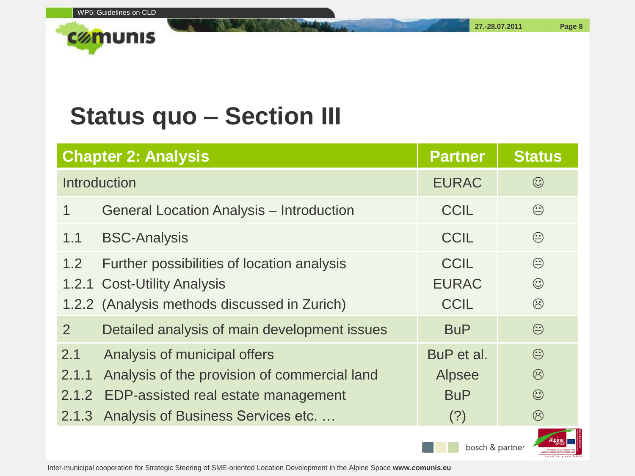

#### **Status quo – Section III**

|                                | <b>Chapter 2: Analysis</b>                                                                                                                               | <b>Partner</b>                                   | <b>Status</b>                            |
|--------------------------------|----------------------------------------------------------------------------------------------------------------------------------------------------------|--------------------------------------------------|------------------------------------------|
|                                | Introduction                                                                                                                                             | <b>EURAC</b>                                     | $\odot$                                  |
| 1                              | <b>General Location Analysis - Introduction</b>                                                                                                          | <b>CCIL</b>                                      | $\bigodot$                               |
| 1.1                            | <b>BSC-Analysis</b>                                                                                                                                      | <b>CCIL</b>                                      | $\odot$                                  |
| 1.2                            | Further possibilities of location analysis<br>1.2.1 Cost-Utility Analysis<br>1.2.2 (Analysis methods discussed in Zurich)                                | <b>CCIL</b><br><b>EURAC</b><br><b>CCIL</b>       | $\odot$<br>$\odot$<br>$\odot$            |
| $\overline{2}$                 | Detailed analysis of main development issues                                                                                                             | <b>BuP</b>                                       | $\bigodot$                               |
| 2.1<br>2.1.1<br>2.1.2<br>2.1.3 | Analysis of municipal offers<br>Analysis of the provision of commercial land<br>EDP-assisted real estate management<br>Analysis of Business Services etc | BuP et al.<br><b>Alpsee</b><br><b>BuP</b><br>(?) | $\odot$<br>$\odot$<br>$\odot$<br>$\odot$ |

bosch & partner

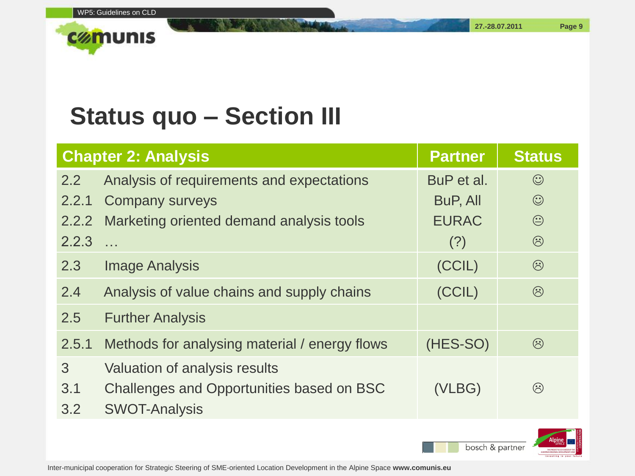

#### **Status quo – Section III**

|       | <b>Chapter 2: Analysis</b>                    | <b>Partner</b> | <b>Status</b> |
|-------|-----------------------------------------------|----------------|---------------|
| 2.2   | Analysis of requirements and expectations     | BuP et al.     | $\odot$       |
| 2.2.1 | <b>Company surveys</b>                        | BuP, All       | $\odot$       |
| 2.2.2 | Marketing oriented demand analysis tools      | <b>EURAC</b>   | $\bigodot$    |
| 2.2.3 |                                               | (?)            | $\odot$       |
| 2.3   | <b>Image Analysis</b>                         | (CCIL)         | $\odot$       |
| 2.4   | Analysis of value chains and supply chains    | (CCIL)         | $\odot$       |
| 2.5   | <b>Further Analysis</b>                       |                |               |
| 2.5.1 | Methods for analysing material / energy flows | (HES-SO)       | $\odot$       |
| 3     | Valuation of analysis results                 |                |               |
| 3.1   | Challenges and Opportunities based on BSC     | (VLBG)         | $\odot$       |
| 3.2   | <b>SWOT-Analysis</b>                          |                |               |



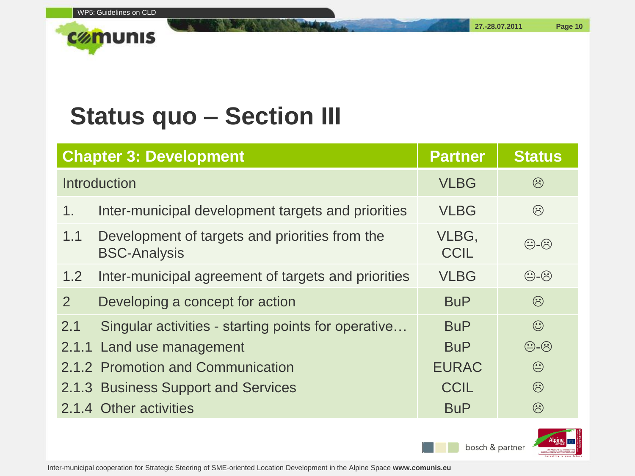

|     | <b>Chapter 3: Development</b>                                         | <b>Partner</b>       | <b>Status</b>             |
|-----|-----------------------------------------------------------------------|----------------------|---------------------------|
|     | Introduction                                                          | <b>VLBG</b>          | $\odot$                   |
| 1.  | Inter-municipal development targets and priorities                    | <b>VLBG</b>          | $\odot$                   |
| 1.1 | Development of targets and priorities from the<br><b>BSC-Analysis</b> | VLBG,<br><b>CCIL</b> | $\bigoplus$ - $\bigodot$  |
| 1.2 | Inter-municipal agreement of targets and priorities                   | <b>VLBG</b>          | $\bigoplus$ - $\bigoplus$ |
| 2   | Developing a concept for action                                       | <b>BuP</b>           | $\odot$                   |
| 2.1 | Singular activities - starting points for operative                   | <b>BuP</b>           | $\odot$                   |
|     | 2.1.1 Land use management                                             | <b>BuP</b>           | $\bigoplus$ - $\bigoplus$ |
|     | 2.1.2 Promotion and Communication                                     | <b>EURAC</b>         | $\odot$                   |
|     | 2.1.3 Business Support and Services                                   | <b>CCIL</b>          | $\odot$                   |
|     | 2.1.4 Other activities                                                | <b>BuP</b>           | $\odot$                   |

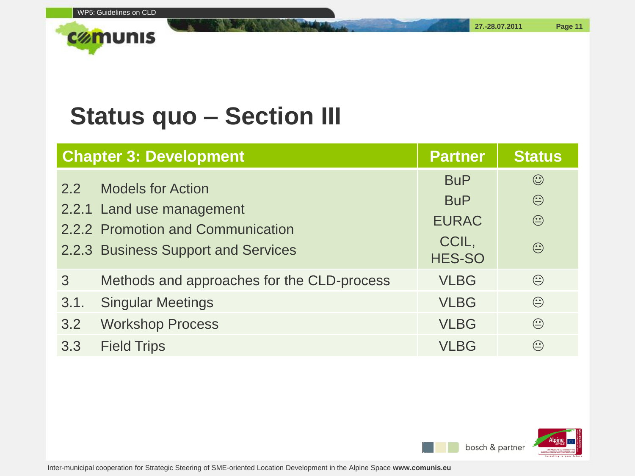**27.-28.07.2011 Page 11**

|               | <b>Chapter 3: Development</b>                                                                                                     | <b>Partner</b>                                                     | <b>Status</b>                               |
|---------------|-----------------------------------------------------------------------------------------------------------------------------------|--------------------------------------------------------------------|---------------------------------------------|
| $2.2^{\circ}$ | <b>Models for Action</b><br>2.2.1 Land use management<br>2.2.2 Promotion and Communication<br>2.2.3 Business Support and Services | <b>BuP</b><br><b>BuP</b><br><b>EURAC</b><br>CCIL,<br><b>HES-SO</b> | $\odot$<br>$\odot$<br>$\bigodot$<br>$\odot$ |
| 3             | Methods and approaches for the CLD-process                                                                                        | <b>VLBG</b>                                                        | $\odot$                                     |
| 3.1.          | <b>Singular Meetings</b>                                                                                                          | <b>VLBG</b>                                                        | $\odot$                                     |
| 3.2           | <b>Workshop Process</b>                                                                                                           | <b>VLBG</b>                                                        | $\odot$                                     |
| 3.3           | <b>Field Trips</b>                                                                                                                | VLBG                                                               | $\odot$                                     |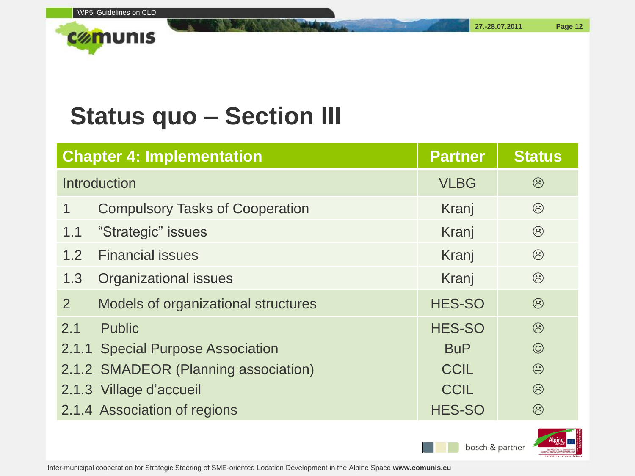

|     | <b>Chapter 4: Implementation</b>       | <b>Partner</b> | <b>Status</b> |
|-----|----------------------------------------|----------------|---------------|
|     | Introduction                           | <b>VLBG</b>    | $\odot$       |
|     | <b>Compulsory Tasks of Cooperation</b> | Kranj          | $\odot$       |
| 1.1 | "Strategic" issues                     | Kranj          | $\odot$       |
| 1.2 | <b>Financial issues</b>                | Kranj          | $\odot$       |
| 1.3 | <b>Organizational issues</b>           | Kranj          | $\odot$       |
| 2   | Models of organizational structures    | <b>HES-SO</b>  | $\odot$       |
| 2.1 | <b>Public</b>                          | <b>HES-SO</b>  | $\odot$       |
|     | 2.1.1 Special Purpose Association      | <b>BuP</b>     | $\odot$       |
|     | 2.1.2 SMADEOR (Planning association)   | <b>CCIL</b>    | $\bigodot$    |
|     | 2.1.3 Village d'accueil                | <b>CCIL</b>    | $\odot$       |
|     | 2.1.4 Association of regions           | <b>HES-SO</b>  | $\odot$       |

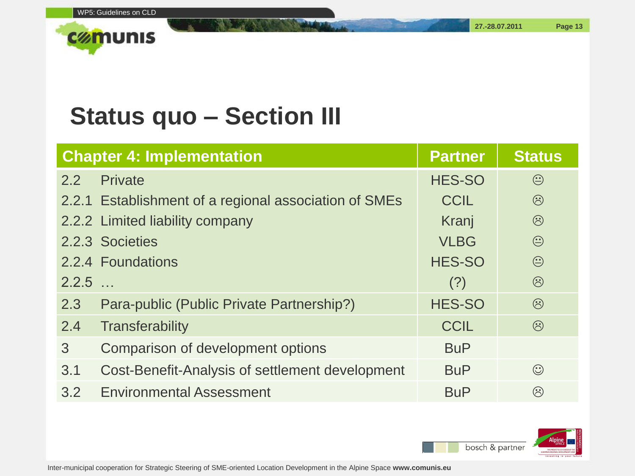**27.-28.07.2011 Page 13**

|               | <b>Chapter 4: Implementation</b>                      | <b>Partner</b> | <b>Status</b> |
|---------------|-------------------------------------------------------|----------------|---------------|
| $2.2^{\circ}$ | Private                                               | <b>HES-SO</b>  | $\odot$       |
|               | 2.2.1 Establishment of a regional association of SMEs | <b>CCIL</b>    | $\odot$       |
|               | 2.2.2 Limited liability company                       | Kranj          | $\odot$       |
|               | 2.2.3 Societies                                       | <b>VLBG</b>    | $\odot$       |
|               | 2.2.4 Foundations                                     | <b>HES-SO</b>  | $\bigodot$    |
| 2.2.5         |                                                       | (?)            | $\odot$       |
| 2.3           | Para-public (Public Private Partnership?)             | <b>HES-SO</b>  | $\odot$       |
| 2.4           | <b>Transferability</b>                                | <b>CCIL</b>    | $\odot$       |
| 3             | Comparison of development options                     | <b>BuP</b>     |               |
| 3.1           | Cost-Benefit-Analysis of settlement development       | <b>BuP</b>     | $\odot$       |
| 3.2           | <b>Environmental Assessment</b>                       | <b>BuP</b>     | $\odot$       |

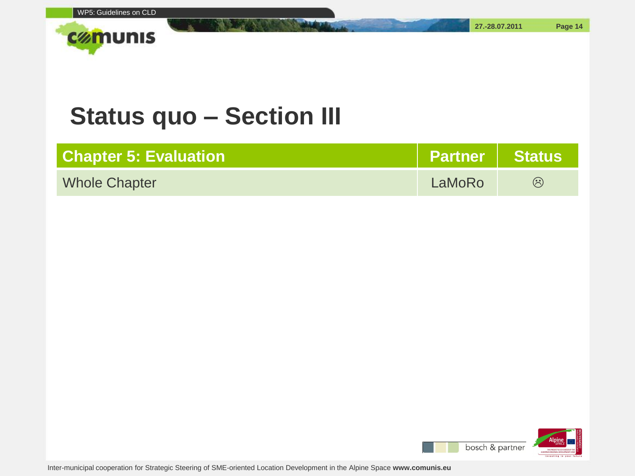

| <b>Chapter 5: Evaluation \</b> | Partner   Status |                            |
|--------------------------------|------------------|----------------------------|
| <b>Whole Chapter</b>           | LaMoRo           | $\left(\ddot{\sim}\right)$ |

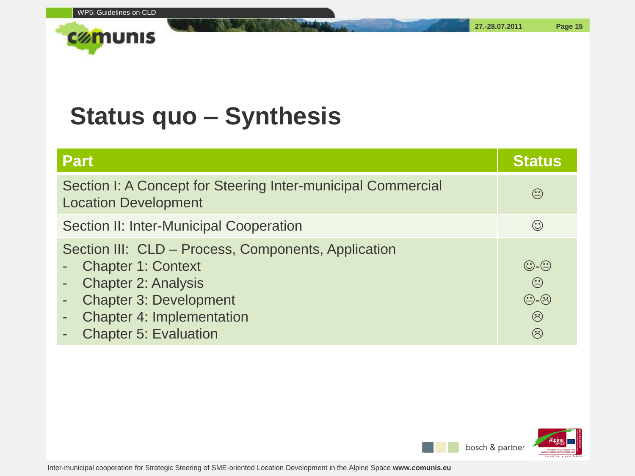**27.-28.07.2011 Page 15**



#### **Status quo – Synthesis**

| <b>Part</b>                                                                                                                                                                                                         | <b>Status</b>                                                                                                          |
|---------------------------------------------------------------------------------------------------------------------------------------------------------------------------------------------------------------------|------------------------------------------------------------------------------------------------------------------------|
| Section I: A Concept for Steering Inter-municipal Commercial<br><b>Location Development</b>                                                                                                                         |                                                                                                                        |
| Section II: Inter-Municipal Cooperation                                                                                                                                                                             | $\odot$                                                                                                                |
| Section III: CLD - Process, Components, Application<br><b>Chapter 1: Context</b><br><b>Chapter 2: Analysis</b><br><b>Chapter 3: Development</b><br><b>Chapter 4: Implementation</b><br><b>Chapter 5: Evaluation</b> | $\bigodot$ - $\bigodot$<br>$\odot$<br>$\bigoplus$ - $\bigoplus$<br>$\ddot{\odot}$<br>$\left(\dot{\ddot{\cdot}}\right)$ |

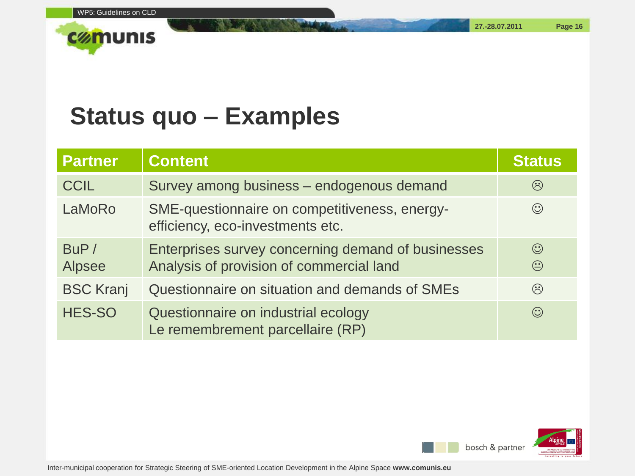**27.-28.07.2011 Page 16**



#### **Status quo – Examples**

| <b>Partner</b>        | <b>Content</b>                                                                                 | <b>Status</b>               |
|-----------------------|------------------------------------------------------------------------------------------------|-----------------------------|
| <b>CCIL</b>           | Survey among business - endogenous demand                                                      | $\left(\ddot{\cdot}\right)$ |
| LaMoRo                | SME-questionnaire on competitiveness, energy-<br>efficiency, eco-investments etc.              | $\odot$                     |
| BUP/<br><b>Alpsee</b> | Enterprises survey concerning demand of businesses<br>Analysis of provision of commercial land | $\odot$<br>$\odot$          |
| <b>BSC Kranj</b>      | Questionnaire on situation and demands of SMEs                                                 | $\odot$                     |
| <b>HES-SO</b>         | Questionnaire on industrial ecology<br>Le remembrement parcellaire (RP)                        | $\odot$                     |

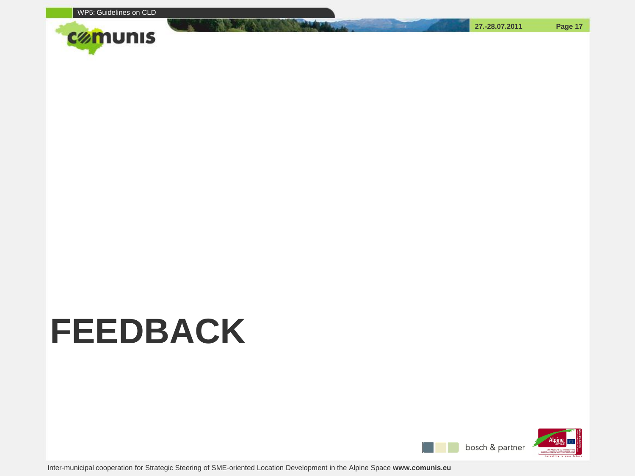

## **FEEDBACK**

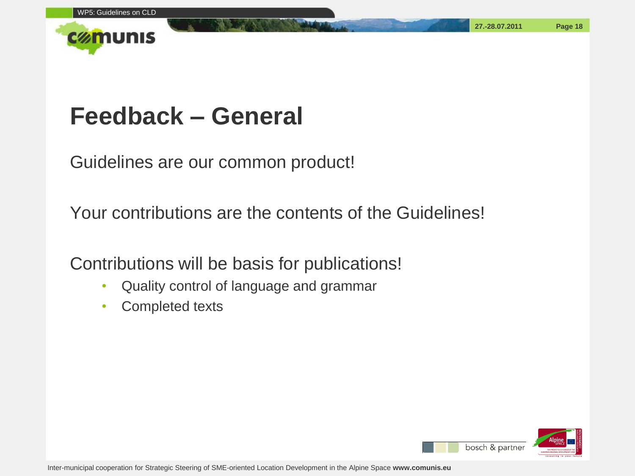

#### **Feedback – General**

Guidelines are our common product!

Your contributions are the contents of the Guidelines!

Contributions will be basis for publications!

- Quality control of language and grammar
- Completed texts



**27.-28.07.2011 Page 18**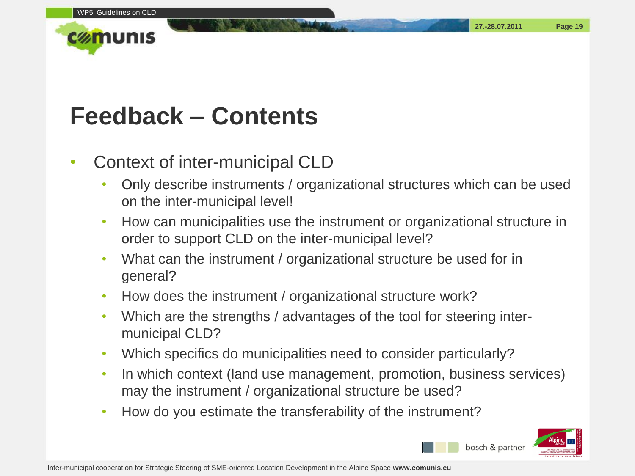**27.-28.07.2011 Page 19**



#### **Feedback – Contents**

#### • Context of inter-municipal CLD

- Only describe instruments / organizational structures which can be used on the inter-municipal level!
- How can municipalities use the instrument or organizational structure in order to support CLD on the inter-municipal level?
- What can the instrument / organizational structure be used for in general?
- How does the instrument / organizational structure work?
- Which are the strengths / advantages of the tool for steering intermunicipal CLD?
- Which specifics do municipalities need to consider particularly?
- In which context (land use management, promotion, business services) may the instrument / organizational structure be used?
- How do you estimate the transferability of the instrument?

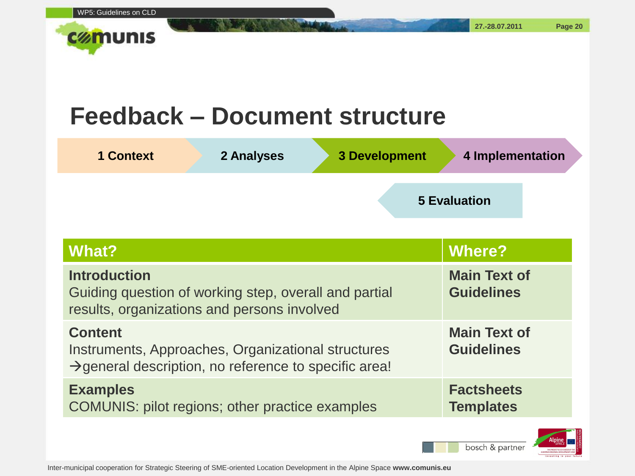

#### **Feedback – Document structure**

| <b>1 Context</b>                                                                                                            | 2 Analyses | <b>3 Development</b>                     | 4 Implementation    |
|-----------------------------------------------------------------------------------------------------------------------------|------------|------------------------------------------|---------------------|
|                                                                                                                             |            |                                          | <b>5 Evaluation</b> |
| What?                                                                                                                       |            |                                          | <b>Where?</b>       |
| <b>Introduction</b><br>Guiding question of working step, overall and partial<br>results, organizations and persons involved |            | <b>Main Text of</b><br><b>Guidelines</b> |                     |

| results, organizations and persons involved                                                                                               |                                          |
|-------------------------------------------------------------------------------------------------------------------------------------------|------------------------------------------|
| <b>Content</b><br>Instruments, Approaches, Organizational structures<br>$\rightarrow$ general description, no reference to specific area! | <b>Main Text of</b><br><b>Guidelines</b> |
| <b>Examples</b><br><b>COMUNIS: pilot regions; other practice examples</b>                                                                 | <b>Factsheets</b><br><b>Templates</b>    |



**27.-28.07.2011 Page 20**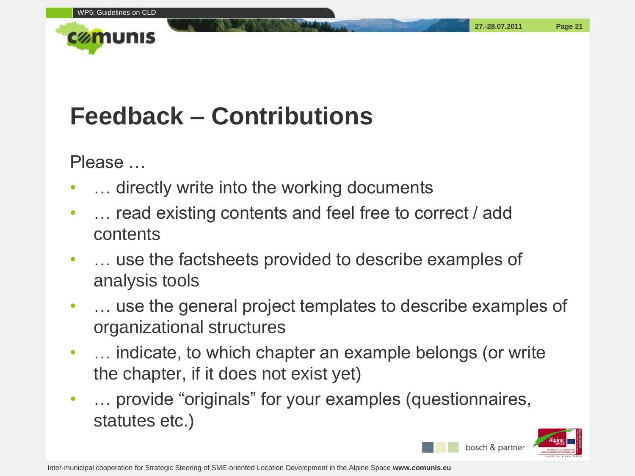

## **Feedback – Contributions**

Please …

- ... directly write into the working documents
- ... read existing contents and feel free to correct / add contents
- … use the factsheets provided to describe examples of analysis tools
- … use the general project templates to describe examples of organizational structures
- … indicate, to which chapter an example belongs (or write the chapter, if it does not exist yet)
- ... provide "originals" for your examples (questionnaires, statutes etc.)

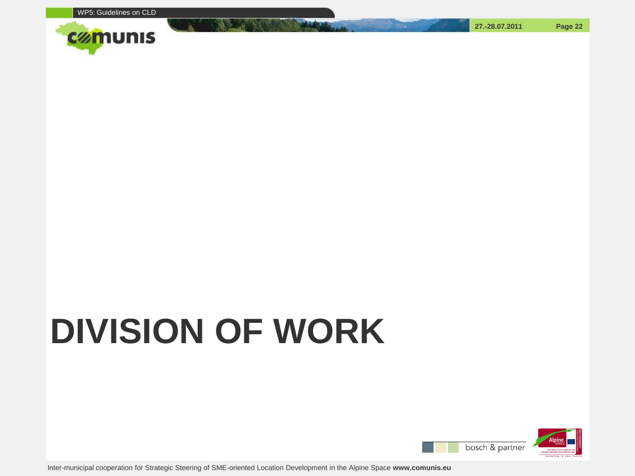

# **DIVISION OF WORK**



**27.-28.07.2011 Page 22**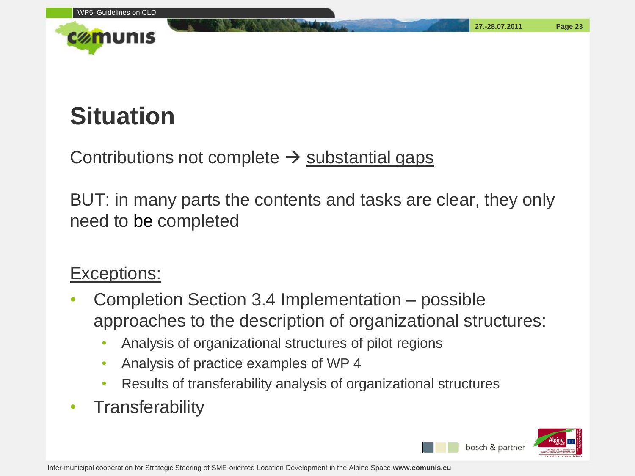

## **Situation**

Contributions not complete  $\rightarrow$  substantial gaps

BUT: in many parts the contents and tasks are clear, they only need to be completed

#### Exceptions:

- Completion Section 3.4 Implementation possible approaches to the description of organizational structures:
	- Analysis of organizational structures of pilot regions
	- Analysis of practice examples of WP 4
	- Results of transferability analysis of organizational structures
- Transferability

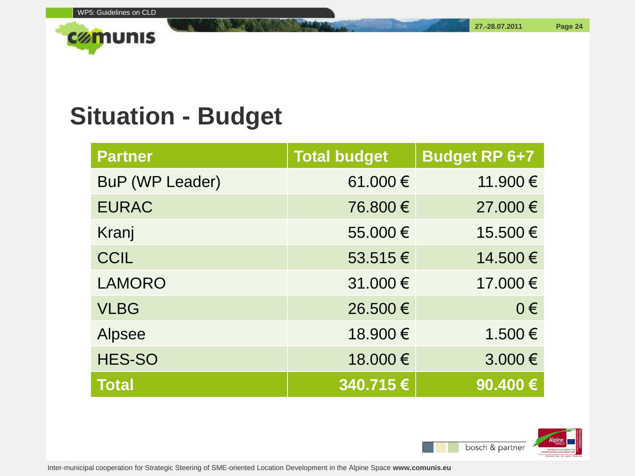**27.-28.07.2011 Page 24**

## **Situation - Budget**

| <b>Partner</b>         | <b>Total budget</b> | <b>Budget RP 6+7</b> |
|------------------------|---------------------|----------------------|
| <b>BuP (WP Leader)</b> | 61.000€             | 11.900€              |
| <b>EURAC</b>           | 76.800 €            | 27.000 €             |
| Kranj                  | 55.000€             | 15.500€              |
| <b>CCIL</b>            | 53.515€             | 14.500€              |
| <b>LAMORO</b>          | 31.000 €            | 17.000€              |
| <b>VLBG</b>            | 26.500 €            | $0 \in$              |
| <b>Alpsee</b>          | 18.900 €            | 1.500€               |
| <b>HES-SO</b>          | 18.000 €            | 3.000€               |
| <b>Total</b>           | $340.715$ €         | 90.400€              |